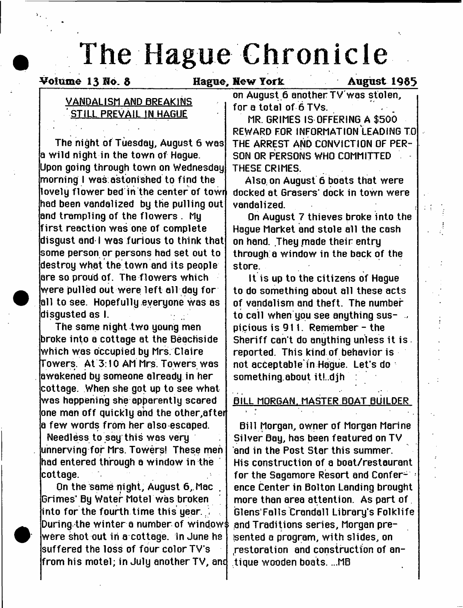# **The Hague Chronicle**

Volume 13 No. 8 Follow Hague, New York August 1985

# **VANDALISM AND BREAKINS STILL PREVAIL IN HAGUE**

**The night of Tuesday, August 6 was a wild night in the town of Hague. Upon going through town on Wednesday morning I was astonished to find the lovely flow er bed in the center of towr had been vandalized by the pulling out and trampling of the flowers . My firs t reaction was one of complete disgust and I was furious to think that some person or persons had set out to destroy what the town and its people are so proud of. The flowers which were pulled out were le ft all day for all to see. Hopefully everyone was as disgusted as I.**

**The same night two young men broke into a cottage at the Beachside which was occupied by Mrs. Claire Towers. At 3:10 AM Mrs Towers was awakened by someone already in her cottage. When she got up to see what was happening she apparently scared one man off quickly and the other,after a few words from her also escaped.**

**Needless to say this was very unnerving for Mrs. Towers! These men had entered through a window in the cottage.**

**On the same night, August 6,.Mac , Grimes\* By Water Motel was broken into for the fourth time this year. During the winter a number of window^ were shot out in a cottage, in June he suffered the loss of four color TV's from his motel; in July another TV, anc**

**on August 6 anotherTV'was stolen, for a total of 6 TVs.**

**MR. GRIMES IS OFFERING A \$500 REWARD FOR INFORMATION LEADING TO THE ARREST AND CONVICTION OF PER-SON OR PERSONS WHO COMMITTED THESE CRIMES.**

**Also, on August 6 boats that were** docked at Grasers' dock in town were **vandalized. ,**

**On August 7 thieves broke into the Hague Market and stole all the cash** on hand. They made their entry **through a window in the back of the store.**

**It is up to the citizens of Hague to do something about all these acts of vandalism and theft. The number to call when you see anything suspicious is 911. Remember - the Sheriff can't do anything unless it is reported. This kind of behavior is not acceptable in Hague. Let's do something.about itLdjh :**

# **BILL MORGAN. MASTER BOAT BUILDER**

**Bill Morgan, owner of Morgan Marine Silver Bay, has been featured on TV and in the Post Star this summer. His construction of a boat/restaurant for the Sagamore Resort and Conference Center in Bolton Landing brought more than area attention. As part of Glens Falls Crandall Library's Folklife and Traditions series, Morgan prefsented a program, with slides, on .restoration and construction of antique wooden boats. ...MB**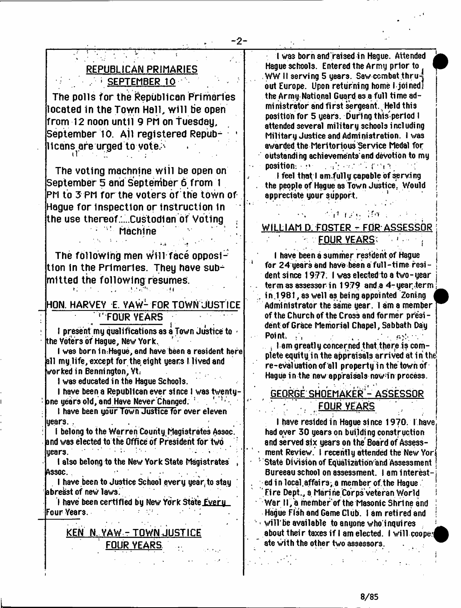# **REPUBLICAN PRIMARIES / ; SEPTEMBER 10**

**The polls for the Republican Primaries located in the Town Hall, will be open from 12 noon until 9 Pli on Tuesday, September 10. All registered Repub- ' llcans are urged to yote.^**

**The voting machnine w ill be open on September 5 and September 6 from 1 PM to 3 PM for the voters of the town of Hague for inspection or instruction in \* the use thereof .....custodian of Voting**

**\* ' Machine ^**

The following men will face opposi**tlon in the Primaries. They have sub^ mltted the following resumes.**

**HON. HARVEY E. YAW1 FOR TOWN JUSTICE FOUR YEARS**

I present my qualifications as a Town Justice to the Voters of Hague, New York,

I was born in Hague, and have been a resident here all my life, except for the eight years I lived and worked in Bennington, Vt:

I was educated in the Hague Schools.

 $\mathbf{E}^{(1)}_{\mathbf{A}}$  ,  $\mathbf{E}^{(2)}_{\mathbf{A}}$  ,  $\mathbf{E}^{(3)}_{\mathbf{A}}$ 

I have been a Republican ever since I was twentypne years old, and Have Never Changed.  $^{\mathrm{!}}$  :

I have been your Town Justice for over eleven years.

I belong to the Warren County,Magistrates Assoc, and was elected to the Office of President for two years. : :  $\mathbb{P}^1$  ,  $\mathbb{P}^1$  ,  $\mathbb{P}^1$  ,  $\mathbb{P}^1$  ,  $\mathbb{P}^1$  ,  $\mathbb{P}^1$  ,  $\mathbb{P}^1$  ,  $\mathbb{P}^1$ 

I also belong to the New York State Magistrates Assoc. '

I have been to Justice School every year to stay abreast of neW laws.

I have been certified by New York State Every Four Years.

# **KEN N. YAW-TOWN JUSTICE FOUR YEARS ...**

I was born and raised in Hague. Attended Hague schools. Entered the Army prior to WW II serving 5 years. Saw combat thru $\frac{4}{3}$ out Europe. Upon returning home **I** joinedl the Army National Guard as a full time administrator and first sergeant. Held this position for 5 years. During this'period I attended several military schools including Military Justice and Administration. I was awarded the Meritorious Service Medal for outstanding achievements'and devotion to my position:  $\mathbb{R}^{n}$  ,  $\mathbb{R}^{n}$  and  $\mathbb{R}^{n}$  is the i

I feel that I am.fully capable of serving the people of Hague as Town Justice. Would | appreciate your support.

# WILLIAM D. FOSTER - FOR ASSESSOR **FOUR YEARS:**

 $\sim$   $\gamma$   $\gamma$   $\gamma$  . . .  $\gamma$  ,  $\gamma$ 

**I** have been a summer resident of Hague for  $24$  years and have been a full-time resident si nee 1977 . **I** was elected to a two- year term as assessor in 1979 and a  $4$ -year, term in 1981, as well as being appointed Zoning Administrator the same year. **I** am a member of the Church of the Cross and former presi dent of Grace Memorial Chapel, Sabbath Day Point.  $\mathcal{L}_{\mathbf{r}}$ 

. I am greatly concerned that there is complete equity in the appraisals arrived at in the re-evaluation of ell property in the town of Hague in the new appraisals now-in process.

**GEORGE SHOEMAKER - ASSESSOR \ ' FOUR YEARS**

I have resided in Hague since 1970. I have had oyer 30 years on building construction and served six years on the'Board of Assess ment Review. I recently attended the New Yori 1 State Division of Equalization'and Assessment Bureeau school on assessment. I am interested in local affairs; a member of the Hague. Fire Dept., a Marine Corps veteran World War II, a member of the Masonic Shrine and Hague Fish and Game Club. I am retired and  $with$  be available to anyone who inquires about their taxes if I am elected. I will coo ate with the other two assessors.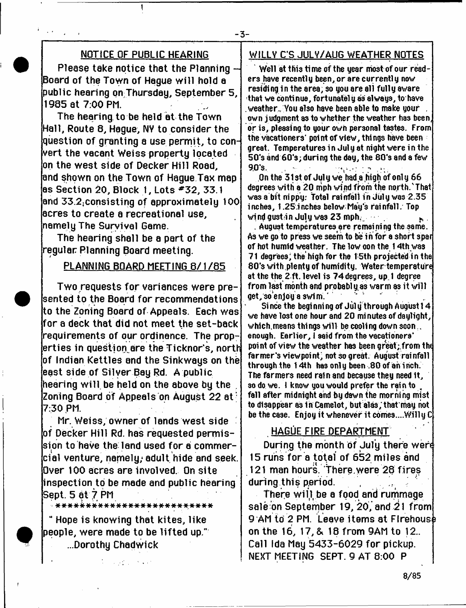#### - 3-

## **NOTICE OF PUBLIC HEARING**

1

**Please take notice that the Planning - Board of the Town of Hague w ill hold a public hearing onThursday, September 5, 1985 at 7:00 PM.**

**The hearing to be held at the Town Hall, Route 8, Hague, NV to consider the question of granting a use permit, to convert the vacant Weiss property located on the west side of Decker Hill Road, and shown on the Town of Hague Tax map as Section 20, Block 1, Lots \*3 2 , 33.1 and 33.2jConsisting of approximately 100 acres to create a recreational use, namely The Survival Game.**

**The hearing shall be a part of the regular Planning Board meeting.**

## PLANNING BOARD MEETING 8/1/85

**Two requests for variances were presented to the Board for recommendations to the Zoning Board of Appeals. Each was for a deck that did not meet the set-back requirements of our ordinance. The properties in question^are the Ticknor's, north of Indian Kettles and the Sinkways on the east side of Silver Bay Rd. A public hearing w ill be held on the above by the . Zoning Board of Appeals on August 22 at\* 7:30 PM.**

**Mr. Weiss; owner of lands west side of Decker Hill Rd. has requested permission to have the land used for a commercial venture, namely; adult hide and seek. Over 100 acres are involved. On site inspection to be made and public hearing Sept. 5 at 7 PM**

\* \* \* \* \* \* \* \* \* \* \* \* \* \* -\* \* \* \* \* \* •\* \* \* \* \* \*

**u Hope is knowing that kites, like people, were made to be lifted up." ...Dorothy Chadwick**

 $\mathcal{L} = \{ \mathcal{L}_1, \mathcal{L}_2, \ldots, \mathcal{L}_n \}$  , and

## **WILLV C'S JULV/AUG WEATHER NOTES**

Well at this time of the year most of our readers have recently been, or are currently now residing 1n the area, so you are all fully aware that we continue, fortunately as always, to have . weather,, You also have been able to make your , own judgment as to whether the weather has been, or is, pleasing to your own personal tastes. From the vacationers' point of view, things have been great. Temperatures in July at night were in the 50's and 60's; during the day, the 8Q's and a few 90 S. ' ' 'Vin ' 'Vin ' 'Yin ' 'Yin ' 'Yin ' 'Yin ' 'Yin ' 'Yin ' 'Yin ' 'Yin ' 'Yin ' 'Yin ' 'Yin ' 'Yin ' 'Y

On the 31 st of July we had a liigh of onl y 66 degrees with a 20 mph wind from the north.'That was a bit nippy.' Total rainfall in July was 2.35 inches, 1.25.inches below May's rainfall. Top wind gustrin July was  $23$  mph.  $\blacksquare$ 

. August temperatures are remaining the same. As we go to press we seem to be in for a short spar of hot humid weather. The low oon the 14th was 71 degrees, the high for the 15th projected in the 8 0 's with plenty of humidity. Water temperature at the the 2 ft. level is 74 degrees, up 1 degree from last month and probably as warm as it will get, so enjoy a swim.

Since the beginning of July through August 14 we have lost one hour and 20 mi nutes of daylight, which, means things will be cooling down soon ... enough. Earlier, I said from the vacationers' point of view the weather has been great;,from the farmer's viewpoint, not so great. August rainfall through the 14th has only been .80 of an inch. The farmers need rain and because they need 1t, so do we. I know you would prefer the rain to fall after midnight and by dawn the morning mist to disappear as in Camelot, but alas; that may not be the case. Enjoy it whenever it comes....Wi11y C

## **HAGUE FIRE DEPARTMENT**

**During the month of July there wen 15 runs for a total of 652 miles and 121 man hours. There.were 28 fires during this ppriod. ,**

**There w ill be a food and rummage sale on September 19, 20, and 21 from 9 AM to 2 PM. Leave items at Firehouse on the 16, 17, & 18 from 9AM to 12.. Call Ida May 5433-6029 for pickup. NEXT MEETING SEPT. 9 AT 8:00 P**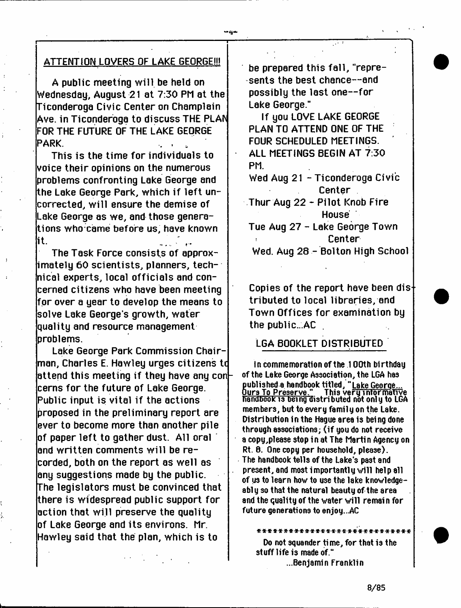## **ATTENTION LOVERS OF LAKE GEORGE!!!**

**A public meeting w ill be held on Wednesday, August 21 at 7:30 PM at the Ticonderoga Civic Center on Champlain Ave. in Ticonderoga to discuss THE PLAN FOR THE FUTURE OF THE LAKE GEORGE PARK.** 

**This is the time for individuals to voice their opinions on the numerous problems confronting Lake George and the Lake George Park, which if left uncorrected, w ill ensure the demise of Lake George as we, and those generations who came before us, have known it.**

**The Task Force consists of approximately 60 scientists, planners, technical experts, local officials and concerned citizens who have been meeting for over a year to develop the means to solve Lake George s growth, water quality and resource management problems.**

**Lake George Park Commission Chairman, Charles E. Hawley urges citizens tc attend this meeting if they have any con cerns for the future of Lake George. Public input is vital if the actions proposed in the preliminary report are ever to become more than another pile of paper left to gather dust. All oral and written comments w ill be recorded, both on the report as well as any suggestions made by the public. The legislators must be convinced that there is widespread public support for action that w ill preserve the quality l**of Lake George and its environs. Mr. **Hawley said that the plan, which is to**

be prepared this fall, "repre**sents the best chance— and possibly the last one— for Lake George."**

 $-4$   $\pm$ **I '**

> **If you LOVE LAKE GEORGE PLAN TO ATTEND ONE OF THE FOUR SCHEDULED MEETINGS. ' ALL MEETINGS BEGIN AT 7:30 PM.**

**Wed Aug 21 - Ticonderoga Civic Center**

**Thur Aug 22 - Pilot Knob Fire House**

**Tue Aug 27 - Lake George Town Center Wed. Aug 28 - Bolton High School**

**Copies of the report have been dis tributed to local libraries, and Town Offices for examination by the public...AC**

# **LGA BOOKLET DISTRIBUTED**

In commemoration of the 100th birthday of the Lake George Association, the LGA has published a handbook titled, "<u>Lake George...</u><br><u>Ours To Preserve."</u> This very informative<br>Residence to hands start butched at colute l ura To Preserve." This very informative handDooic is **Dei**ng distributed not only to LGA members, but to every family on the Lake. Distribution in the Hague area is being done through associations; (if you do not receive a copy, please stop in at The Martin Agency on Rt. 8. One copy per household, please). The handbook tells of the Lake's past and present, and most importantly will help all of us to learn how to use the lake knowledgeably so that the natural beauty of the area and the quality of the water will remain for future generations to enjoy...AC

\*\*\*\*\*\*\*\*\*\*\*\*\*\*\*\*\*\*\*\*\*\*\*\*\*\*\*\*\* Do not squander time, for that is the stuff life is made of." ...Benjamin Franklin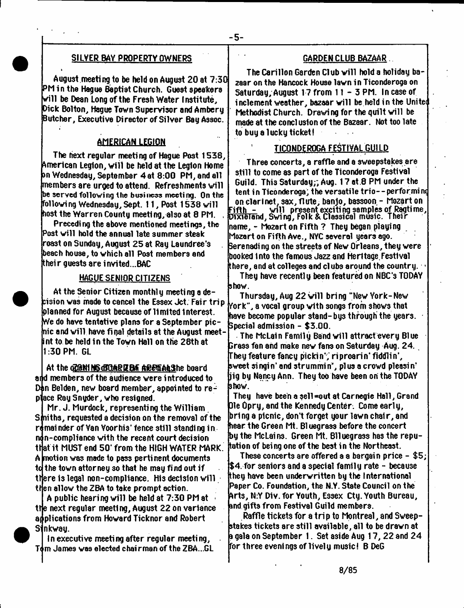#### SILVER BAY PROPERTY OWNERS

>

August meeting to be held on August 20 at 7:30 PM in the Hague Baptist Church. Guest speakers will be Dean Long of the Fresh Water Institute, Dick Bolton, Hague Town Supervisor and Ambery Butcher, Executive Director of Silver Bay Assoc.

#### AMERICAN LEGION

The fiext regular meeting of Hague Post 1538, American Legion, will be held at the Legion Home an Wednesday, September 4 at 8:00 PM, and all members are urged to attend. Refreshments will be served following the business meeti ng. On the following Wednesday,Sept. 11, Post 1538 will host the Warren County meeting, also at 8 PM. ,

Preceding the above mentioned meetings, the Post will hold the annual late summer steak roast on Sunday, August 25 at Ray Laundree's beach house, to which all Post members and their guests are invited...BAC

#### HAGUE SENIOR CITIZENS

At the Senior Citizen monthly meeting a de-. The chemotromagnet in the control of the control of the chemother than the control of the Mew York-New Cision was made to cancel the Essex Jct. Fair trip  $\frac{1}{2}$  . Thursday, Aug 22 will bring "New York-New planned for August because of limited Interest. We do have tentative plans for a September picnic and will have fi gal details at the August meetint to be held in the Town Hall on the 28th at 1:30 PM. GL

At the chan NG CHARD BA ARE GALShe board and members of the audience were introduced to Dan Belden, new board member, appointed to reace Ray Snyder, who resigned.

Mr. J. Murdock, representing the William Sfniths, requested a decision on the removal of the remainder of Van Voorhis' fence still standing in ndn-compliance with the recent court decision that it MUST end 50' from the HIGH WATER MARK. A motion was made to pass pertinent documents to the town attorney so that he may find out if there is legal non-compliance. His decision will then allow the ZBA to take prompt action.

A public hearing will be held at 7:30 PM at • the next regular meeting, August 22 on variance adplications from Howard Ticknor and Robert Sinkway.

In executive meeting after regular meeting, Tom James was elected chairman of the ZBA...GL  $\,$ 

#### GARDEN CLUB BAZAAR

The Carillon Garden Cl ub will hold a holiday bazaar on the Hancock House lawn in Ticonderoga on Saturday, August 17 from 11 - 3 PM. In case of inclement weather, bazaar will be held in the Unitat Methodist Church. Drawi ng for the quilt will be made at the concl uslon of the Bazaar. Not too late to buy a lucky ticket!

#### TICONDEROGA FESTIVAL GUILD

Three concerts, a raffle and a sweepstakes are still to come as part of the Ticonderoga Festival Guild. This Saturday;; Aug. 17 at .8 PM under the tent in Ticonderoga; the versatile trio--performing on clarinet, sax, flute, banjo, bassoon - Mozart on will present exciting samples of Ragtime, Dixieland, Swing, Folk & Classical music. Their name, - Mozart on Fifth ? They began playing Mozart on Fifth Ave., NYC several years ago. Serenadi ng on the streets of New Orleans, they were booked Into the famous Jazz and Heritage.Festival there, and at colleges and clubs around the country. >

They have recently been featured on NBC's TODAY show.

 $\,$  York", a vocal group with songs from shows that have become popular stand-bys through the years. Special admission - \$3.00.

The McLain Family Band will attract every Blue rass fan and make new fans on Saturday Aug. 24. They feature fancy pickin', riproarin\* fiddlin', sweet singin' and strummin', plus a crowd pleasin\* jig by Nancy Ann. They too have been on the TODAY show.

They have been a sell=out at Carnegie Hall, Grand Die dpry, and the Kennedy Center. Come early, bring a picnic, don't forget your lawn chair, and hear the Green Mt. Bluegrass before the concert by the McLains. Green Mt. Blluegrass has the reputation of being one of the best in the Northeast.

These concerts are offered a a bargain price - \$5; \$4 for seniors and a special family rate - because they have been underwritten by the International Paper Co. Foundation, the N.Y. State Council on the arts, N:Y Dlv. for Youth, Essex Cty. Youth Bureau, and gifts from Festival Guild members.

Raffle tickets for a trip to Montreal, and Sweepstakes tickets are still available, all to be drawn at a gala on September 1. Set aside Aug 17, 22 and 24 for three evenings of lively music! B DeG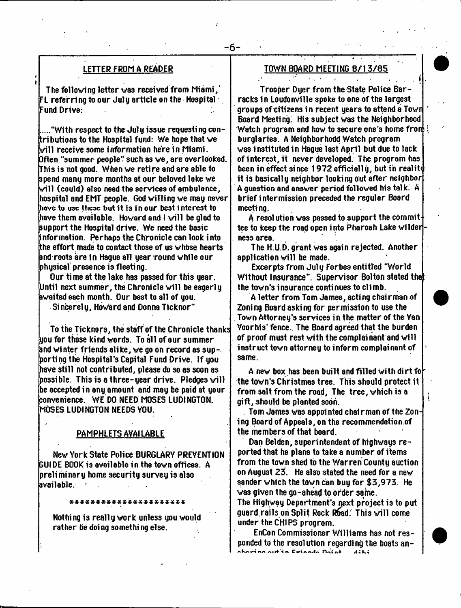### LETTER FROM A READER

The following letter was received from Miami,  ${\sf FL}$  referring to our July article on the Hospital  $\cdot$ Fund Drive:

.."With respect to the July issue requesting contributions to the Hospital fund: We hope that we will receive some information here in Miami. Often "summer people" such as we, are overlooked. This is not good. When we retire and are able to spend many more months at our beloved lake we will (could) also need the services of ambulance, hospital and EMT people. God willing we mag never have to u<del>sc</del> these but it is in our best interest to have them available. Howard and I will be glad to support the Hospital drive. We need the basic information. Perhaps the Chronicle can look into the effort made to contact those of us whbse hearts and roots are in Hague all gear round while our physical presence is fleeting.

Our time at the lake has passed for this year. Until next summer, the Chronicle will be eagerly awaited each month. Our best to all of you.

Sincerely, Howard and Donna Ticknor"

To the Ticknors, the staff of the Chronicle thanks  $\lambda$ you for those kind words. To all of our summer and winter friend3 alike, we go on record as supporting the Hospital's Capital Fund Drive. If you have still not contributed, please do so as soon as possible. This is a three-year drive. Pledges will be accepted in any amount and may be paid at your convenience. WE DO NEED MOSES LUDINGTON. MOSES LUDINGTON NEEDS YOU.

#### PAMPHLETS AVAILABLE

New York State Police BURGLARY PREVENTION GUIDE BOOK is available in the town offices. A preliminary home security survey is also available.  $\sim$ 

Nothing is really work unless you would rather be doi ng somethi ng else.

\*\*\*\*\*\*\*\*\*\*\*\*\*\*\*\*\*\*\*\*\*\*

## TOWN BOARD MEETING 8/13/85

 $-1 - 3$ 

-6-

Trooper Dyer from the State Police Barracks in Loudonville spoke to one of the largest groups of citizens in recent years to attend a Town Board Meeting: His subject was the Neighborhood Watch program and how to secure one's home fronj! burglaries. A Neighborhodd Watch program was instituted in Hague last April but due to lack of interest, it never developed. The program has been in effect since 1972 officially, but in reality it is basically neighbor looking out after neighbor A gusstion and answer period followed his talk. A brief intermission preceded the regular Board meeting.

A resolution was passed to support the committee to keep the road open i nto Pharoah Lake wilder ness area.

The H.U.D. grant was again rejected. Another application will be made.

Excerpts from July Forbes entitled "World Without Insurance". Supervisor Bolton stated tha the town's insurance continues to climb.

A letter from Tom James, acting chairman of Zoning Board asking for permission to use the Town Attorney's services in the matter of the Van Voorhis' fence. The Board agreed that the burden of proof must rest with the complainant and will instruct town attorney to inform complainant of same.

A new box has been built and filled with dirt fo the town's Christmas tree. This should protect it from salt from the road. The tree, which is a gift, should be planted soon.

Tom James was appointed chairman of the Zoning Board of Appeals, on the recommendation of the members of that board.

Dan Belden, superintendent of highways re ported that he plans to take a number of items from the town shed to the Warren County auction on August 23. He also stated the need for a new sander which the town can buy for \$3,973. He was given the go-ahead to order same. The Highway Department's next project is to put guard rails on Split Rock Rhad: This will come under the CHIPS program.

EnCon Commissioner Williams has not responded to the resolution regarding the boats an-A Alii *•% W%* C iri a f\| *A 4* K <■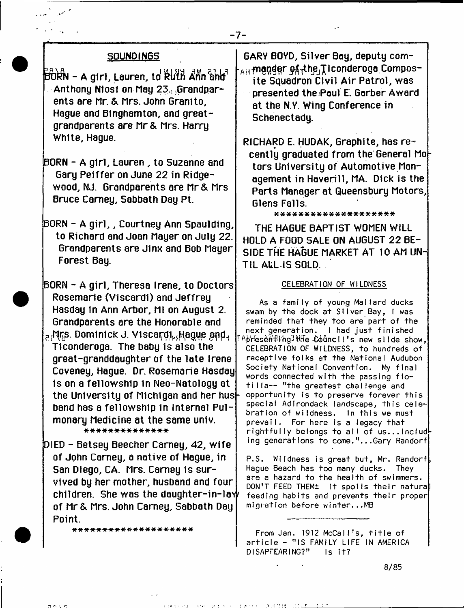#### **SOUNDINGS**

 $\overline{\mathbf{b}}$   $\overline{\mathbf{c}}$   $\mathbf{b}$   $\mathbf{b}$   $\mathbf{b}$   $\mathbf{c}$  and  $\mathbf{c}$   $\mathbf{b}$  and  $\mathbf{b}$   $\mathbf{b}$   $\mathbf{b}$   $\mathbf{b}$   $\mathbf{b}$   $\mathbf{b}$   $\mathbf{b}$   $\mathbf{b}$   $\mathbf{b}$   $\mathbf{b}$   $\mathbf{b}$   $\mathbf{b}$   $\mathbf{b}$   $\mathbf{b}$   $\mathbf{b}$  **Anthony Niosf on May 23.) Grandparents are Mr. & Mrs. John Granito, Hague and Binghamton, and greatgrandparents are Mr & Mrs. Harry White, Hague.**

**BORN - A girl, Lauren , to Suzanne and Gary Pelffer on June 22 in Ridgewood, NJ. Grandparents are Mr & Mrs Bruce Carney, Sabbath Day Pt.**

**BORN - A g ir l,, Courtney Ann Spaulding, to Richard and Joan Mayer on July 22. Grandparents are Jinx and Bob Mayer Forest Bay.**

**BORN - A girl, Theresa Irene, to Doctors Rosemarie (Viscardi) and Jeffrey Hasday in Ann Arbor, Ml on August 2. Grandparents are the Honorable and ?.^ s . Dominick J. Vlscar^i^agwe Ticonderoga. The baby Is also the**

**great-granddaughter of the late Irene Coveney, Hague. Dr. Rosemarie Hasday is on a fellowship in Neo-Natology at the University of Michigan and her husband has a fellowship in Internal Pulmonary Medicine at the same univ.** \*\*\*\*\*\*\*\*\*\*\*\*\*

**DIED - Betsey Beecher Carney, 42, w ife of John Carney, a native of Hague, in San Diego, CA. Mrs. Carney is survived by her mother, husband and four children. She was the daughter-in-lav^ of Mr & Mrs. John Carney, Sabbath Day Point.**

\*\*\*\*\*\*\*\*\*\*\*\*\*\*\*\*\*\*\*

**GARY BOYD, Silver Bay, deputy com- AH mander of the Ticonderogo Composite Squadron Civil Air Patrol, was presented the Paul E. Garber Award at the N.Y. Wing Conference in Schenectady.**

**RICHARD E. HUDAK, Graphite, has re**cently graduated from the General Mo**tors University of Automotive Management in Haverill, MA. Dick is the Parts Manager at Queensbury Motors, Glens Falls.**

\*\*\*\*\*\*\*\*\*\*\*\*\*\*\*\*\*\*

**THE HAGUE BAPTIST WOMEN WILL HOLD A FOOD SALE ON AUGUST 22 BE-SIDE THE HAGUE MARKET AT 10 AM UN-TIL ALL IS SOLD.**

#### CELEBRATION OF WILDNESS

As a family of young Mallard ducks swam by the dock at Silver Bay, I was reminded that they too are part of the next generation. I had just finished ApresentIng Hie Council's new slide show, CELEBRATION OF WILDNESS, to hundreds of receptive folks at the National Audubon Society National Convention. My final words connected with the passing flotilla— "the greatest challenge and opportunity is to preserve forever this special Adirondack landscape, this celebration of wildness. In this we must prevail. For here Is a legacy that rightfully belongs to all of us...including generations to come."...Gary Randorf

P.S. Wildness is great but, Mr. Randorf, Hague Beach has too many ducks. They are a hazard to the health of swimmers. DON'T FEED THEM± It spoils their natural feeding habits and prevents their proper migration before winter...MB

From Jan. 1912 McCalI!s, title of article - "IS FAMILY LIFE IN AMERICA DISAPFEARING?" Is it?